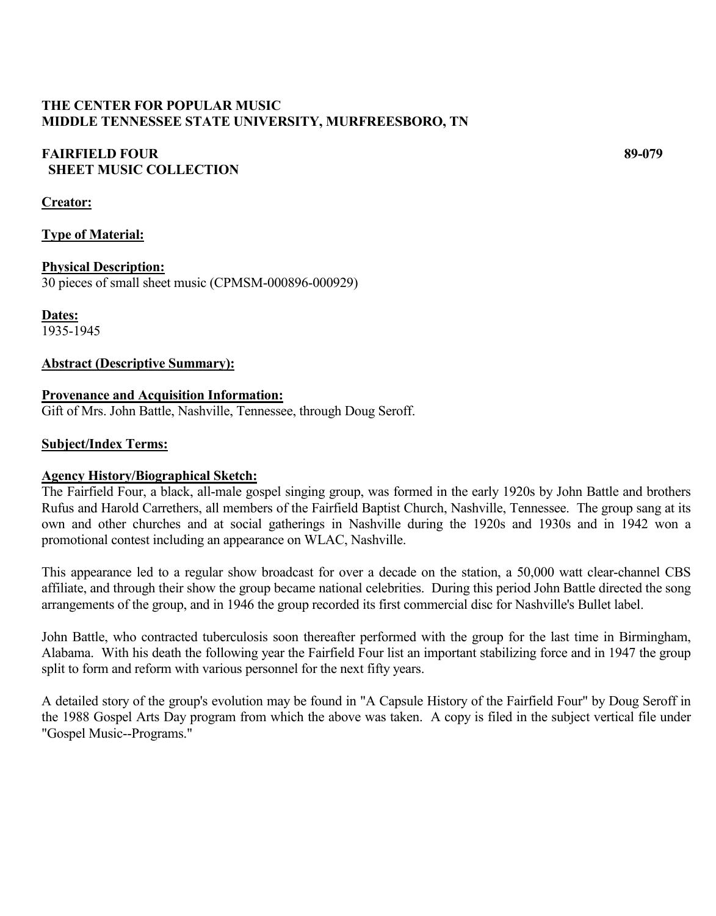# **THE CENTER FOR POPULAR MUSIC MIDDLE TENNESSEE STATE UNIVERSITY, MURFREESBORO, TN**

# **FAIRFIELD FOUR 89-079 SHEET MUSIC COLLECTION**

## **Creator:**

## **Type of Material:**

**Physical Description:** 30 pieces of small sheet music (CPMSM-000896-000929)

**Dates:** 1935-1945

## **Abstract (Descriptive Summary):**

## **Provenance and Acquisition Information:**

Gift of Mrs. John Battle, Nashville, Tennessee, through Doug Seroff.

## **Subject/Index Terms:**

## **Agency History/Biographical Sketch:**

The Fairfield Four, a black, all-male gospel singing group, was formed in the early 1920s by John Battle and brothers Rufus and Harold Carrethers, all members of the Fairfield Baptist Church, Nashville, Tennessee. The group sang at its own and other churches and at social gatherings in Nashville during the 1920s and 1930s and in 1942 won a promotional contest including an appearance on WLAC, Nashville.

This appearance led to a regular show broadcast for over a decade on the station, a 50,000 watt clear-channel CBS affiliate, and through their show the group became national celebrities. During this period John Battle directed the song arrangements of the group, and in 1946 the group recorded its first commercial disc for Nashville's Bullet label.

John Battle, who contracted tuberculosis soon thereafter performed with the group for the last time in Birmingham, Alabama. With his death the following year the Fairfield Four list an important stabilizing force and in 1947 the group split to form and reform with various personnel for the next fifty years.

A detailed story of the group's evolution may be found in "A Capsule History of the Fairfield Four" by Doug Seroff in the 1988 Gospel Arts Day program from which the above was taken. A copy is filed in the subject vertical file under "Gospel Music--Programs."